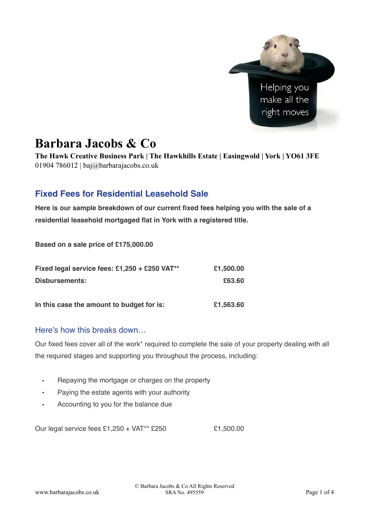

# **Barbara Jacobs & Co**

**The Hawk Creative Business Park | The Hawkhills Estate | Easingwold | York | YO61 3FE**  01904 786012 | baj@barbarajacobs.co.uk

## **Fixed Fees for Residential Leasehold Sale**

**Here is our sample breakdown of our current fixed fees helping you with the sale of a residential leasehold mortgaged flat in York with a registered title.**

**Based on a sale price of £175,000.00** 

| Fixed legal service fees: £1,250 + £250 VAT** | £1,500.00 |
|-----------------------------------------------|-----------|
| Disbursements:                                | £63.60    |
| In this case the amount to budget for is:     | £1,563.60 |

### Here's how this breaks down…

Our fixed fees cover all of the work\* required to complete the sale of your property dealing with all the required stages and supporting you throughout the process, including:

- Repaying the mortgage or charges on the property
- Paying the estate agents with your authority
- Accounting to you for the balance due

Our legal service fees  $£1,250 + VAT^{**}$  £250  $£1,500.00$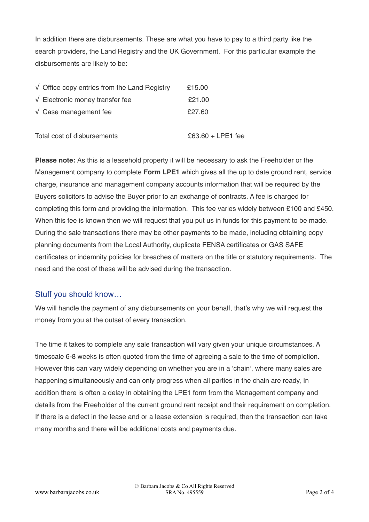In addition there are disbursements. These are what you have to pay to a third party like the search providers, the Land Registry and the UK Government. For this particular example the disbursements are likely to be:

| $\sqrt{\phantom{a}}$ Office copy entries from the Land Registry | £15.00 |
|-----------------------------------------------------------------|--------|
| $\sqrt{\phantom{a}}$ Electronic money transfer fee              | £21.00 |
| $\sqrt{\phantom{a}}$ Case management fee                        | £27.60 |
|                                                                 |        |

Total cost of disbursements  $\frac{63.60 + 1 \text{ PF1}}{20}$  fee

**Please note:** As this is a leasehold property it will be necessary to ask the Freeholder or the Management company to complete **Form LPE1** which gives all the up to date ground rent, service charge, insurance and management company accounts information that will be required by the Buyers solicitors to advise the Buyer prior to an exchange of contracts. A fee is charged for completing this form and providing the information. This fee varies widely between £100 and £450. When this fee is known then we will request that you put us in funds for this payment to be made. During the sale transactions there may be other payments to be made, including obtaining copy planning documents from the Local Authority, duplicate FENSA certificates or GAS SAFE certificates or indemnity policies for breaches of matters on the title or statutory requirements. The need and the cost of these will be advised during the transaction.

#### Stuff you should know…

We will handle the payment of any disbursements on your behalf, that's why we will request the money from you at the outset of every transaction.

The time it takes to complete any sale transaction will vary given your unique circumstances. A timescale 6-8 weeks is often quoted from the time of agreeing a sale to the time of completion. However this can vary widely depending on whether you are in a 'chain', where many sales are happening simultaneously and can only progress when all parties in the chain are ready, In addition there is often a delay in obtaining the LPE1 form from the Management company and details from the Freeholder of the current ground rent receipt and their requirement on completion. If there is a defect in the lease and or a lease extension is required, then the transaction can take many months and there will be additional costs and payments due.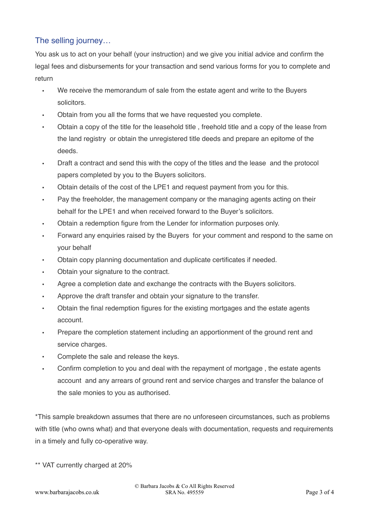## The selling journey…

You ask us to act on your behalf (your instruction) and we give you initial advice and confirm the legal fees and disbursements for your transaction and send various forms for you to complete and return

- We receive the memorandum of sale from the estate agent and write to the Buyers solicitors.
- Obtain from you all the forms that we have requested you complete.
- Obtain a copy of the title for the leasehold title , freehold title and a copy of the lease from the land registry or obtain the unregistered title deeds and prepare an epitome of the deeds.
- Draft a contract and send this with the copy of the titles and the lease and the protocol papers completed by you to the Buyers solicitors.
- Obtain details of the cost of the LPE1 and request payment from you for this.
- Pay the freeholder, the management company or the managing agents acting on their behalf for the LPE1 and when received forward to the Buyer's solicitors.
- Obtain a redemption figure from the Lender for information purposes only.
- Forward any enquiries raised by the Buyers for your comment and respond to the same on your behalf
- Obtain copy planning documentation and duplicate certificates if needed.
- Obtain your signature to the contract.
- Agree a completion date and exchange the contracts with the Buyers solicitors.
- Approve the draft transfer and obtain your signature to the transfer.
- Obtain the final redemption figures for the existing mortgages and the estate agents account.
- Prepare the completion statement including an apportionment of the ground rent and service charges.
- Complete the sale and release the keys.
- Confirm completion to you and deal with the repayment of mortgage , the estate agents account and any arrears of ground rent and service charges and transfer the balance of the sale monies to you as authorised.

\*This sample breakdown assumes that there are no unforeseen circumstances, such as problems with title (who owns what) and that everyone deals with documentation, requests and requirements in a timely and fully co-operative way.

\*\* VAT currently charged at 20%